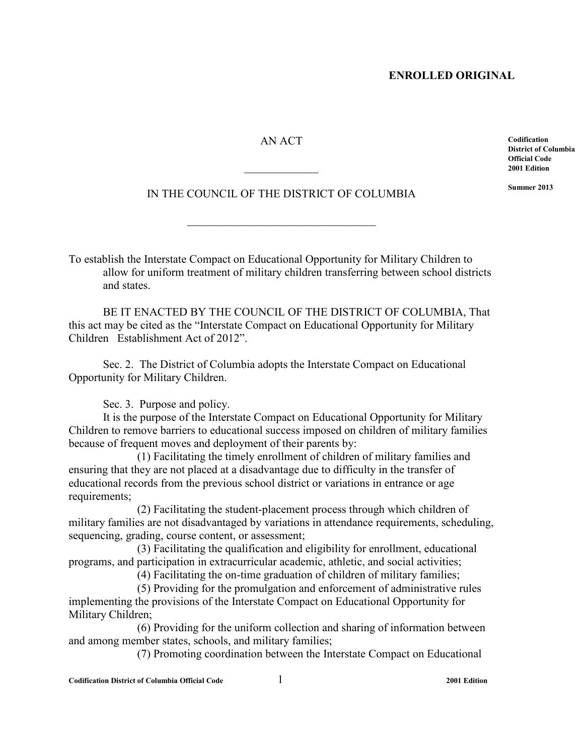#### AN ACT

 $\frac{1}{2}$  ,  $\frac{1}{2}$  ,  $\frac{1}{2}$  ,  $\frac{1}{2}$  ,  $\frac{1}{2}$  ,  $\frac{1}{2}$ 

**Codification District of Columbia Official Code 2001 Edition** 

**Summer 2013** 

# IN THE COUNCIL OF THE DISTRICT OF COLUMBIA

\_\_\_\_\_\_\_\_\_\_\_\_\_\_\_\_\_\_\_\_\_\_\_\_\_\_\_\_\_\_\_\_\_

To establish the Interstate Compact on Educational Opportunity for Military Children to allow for uniform treatment of military children transferring between school districts and states.

BE IT ENACTED BY THE COUNCIL OF THE DISTRICT OF COLUMBIA, That this act may be cited as the "Interstate Compact on Educational Opportunity for Military Children Establishment Act of 2012".

Sec. 2. The District of Columbia adopts the Interstate Compact on Educational Opportunity for Military Children.

Sec. 3. Purpose and policy.

It is the purpose of the Interstate Compact on Educational Opportunity for Military Children to remove barriers to educational success imposed on children of military families because of frequent moves and deployment of their parents by:

(1) Facilitating the timely enrollment of children of military families and ensuring that they are not placed at a disadvantage due to difficulty in the transfer of educational records from the previous school district or variations in entrance or age requirements;

(2) Facilitating the student-placement process through which children of military families are not disadvantaged by variations in attendance requirements, scheduling, sequencing, grading, course content, or assessment;

(3) Facilitating the qualification and eligibility for enrollment, educational programs, and participation in extracurricular academic, athletic, and social activities;

(4) Facilitating the on-time graduation of children of military families;

 (5) Providing for the promulgation and enforcement of administrative rules implementing the provisions of the Interstate Compact on Educational Opportunity for Military Children;

 (6) Providing for the uniform collection and sharing of information between and among member states, schools, and military families;

(7) Promoting coordination between the Interstate Compact on Educational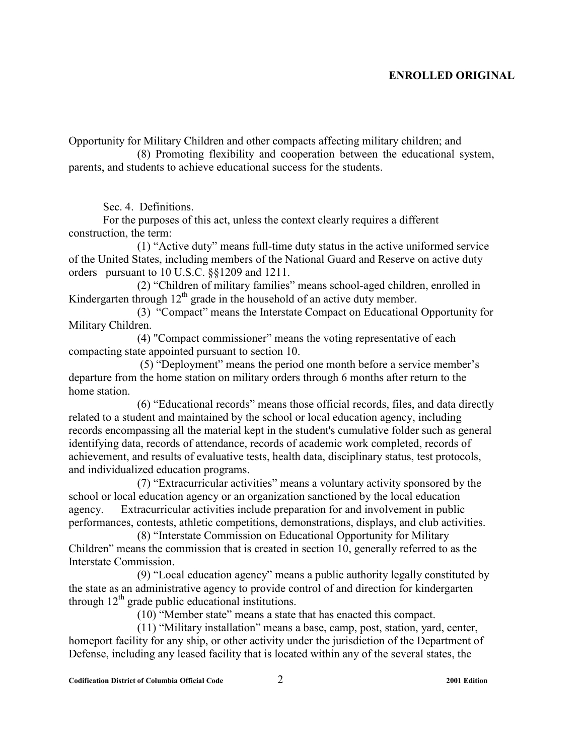Opportunity for Military Children and other compacts affecting military children; and

 (8) Promoting flexibility and cooperation between the educational system, parents, and students to achieve educational success for the students.

Sec. 4. Definitions.

 For the purposes of this act, unless the context clearly requires a different construction, the term:

(1) "Active duty" means full-time duty status in the active uniformed service of the United States, including members of the National Guard and Reserve on active duty orders pursuant to 10 U.S.C. §§1209 and 1211.

(2) "Children of military families" means school-aged children, enrolled in Kindergarten through  $12<sup>th</sup>$  grade in the household of an active duty member.

(3) "Compact" means the Interstate Compact on Educational Opportunity for Military Children.

(4) "Compact commissioner" means the voting representative of each compacting state appointed pursuant to section 10.

 (5) "Deployment" means the period one month before a service member's departure from the home station on military orders through 6 months after return to the home station.

(6) "Educational records" means those official records, files, and data directly related to a student and maintained by the school or local education agency, including records encompassing all the material kept in the student's cumulative folder such as general identifying data, records of attendance, records of academic work completed, records of achievement, and results of evaluative tests, health data, disciplinary status, test protocols, and individualized education programs.

(7) "Extracurricular activities" means a voluntary activity sponsored by the school or local education agency or an organization sanctioned by the local education agency. Extracurricular activities include preparation for and involvement in public performances, contests, athletic competitions, demonstrations, displays, and club activities.

(8) "Interstate Commission on Educational Opportunity for Military Children" means the commission that is created in section 10, generally referred to as the Interstate Commission.

(9) "Local education agency" means a public authority legally constituted by the state as an administrative agency to provide control of and direction for kindergarten through  $12<sup>th</sup>$  grade public educational institutions.

(10) "Member state" means a state that has enacted this compact.

(11) "Military installation" means a base, camp, post, station, yard, center, homeport facility for any ship, or other activity under the jurisdiction of the Department of Defense, including any leased facility that is located within any of the several states, the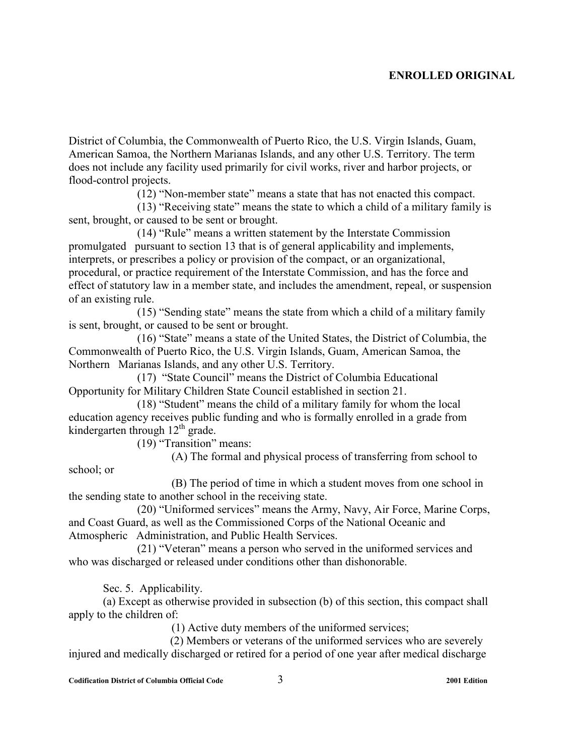District of Columbia, the Commonwealth of Puerto Rico, the U.S. Virgin Islands, Guam, American Samoa, the Northern Marianas Islands, and any other U.S. Territory. The term does not include any facility used primarily for civil works, river and harbor projects, or flood-control projects.

(12) "Non-member state" means a state that has not enacted this compact.

 (13) "Receiving state" means the state to which a child of a military family is sent, brought, or caused to be sent or brought.

(14) "Rule" means a written statement by the Interstate Commission promulgated pursuant to section 13 that is of general applicability and implements, interprets, or prescribes a policy or provision of the compact, or an organizational, procedural, or practice requirement of the Interstate Commission, and has the force and effect of statutory law in a member state, and includes the amendment, repeal, or suspension of an existing rule.

(15) "Sending state" means the state from which a child of a military family is sent, brought, or caused to be sent or brought.

(16) "State" means a state of the United States, the District of Columbia, the Commonwealth of Puerto Rico, the U.S. Virgin Islands, Guam, American Samoa, the Northern Marianas Islands, and any other U.S. Territory.

(17) "State Council" means the District of Columbia Educational Opportunity for Military Children State Council established in section 21.

(18) "Student" means the child of a military family for whom the local education agency receives public funding and who is formally enrolled in a grade from kindergarten through  $12<sup>th</sup>$  grade.

(19) "Transition" means:

(A) The formal and physical process of transferring from school to

school; or

 (B) The period of time in which a student moves from one school in the sending state to another school in the receiving state.

(20) "Uniformed services" means the Army, Navy, Air Force, Marine Corps, and Coast Guard, as well as the Commissioned Corps of the National Oceanic and Atmospheric Administration, and Public Health Services.

(21) "Veteran" means a person who served in the uniformed services and who was discharged or released under conditions other than dishonorable.

Sec. 5. Applicability.

(a) Except as otherwise provided in subsection (b) of this section, this compact shall apply to the children of:

(1) Active duty members of the uniformed services;

 (2) Members or veterans of the uniformed services who are severely injured and medically discharged or retired for a period of one year after medical discharge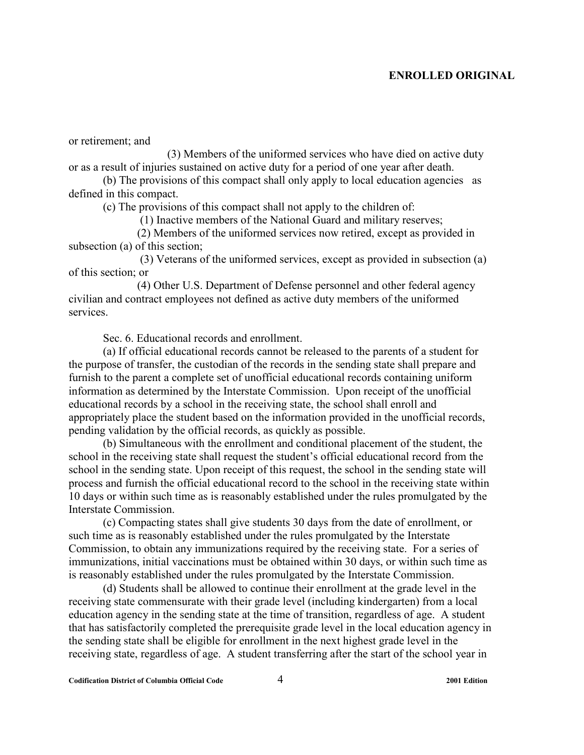or retirement; and

(3) Members of the uniformed services who have died on active duty or as a result of injuries sustained on active duty for a period of one year after death.

(b) The provisions of this compact shall only apply to local education agencies as defined in this compact.

(c) The provisions of this compact shall not apply to the children of:

(1) Inactive members of the National Guard and military reserves;

 (2) Members of the uniformed services now retired, except as provided in subsection (a) of this section;

 (3) Veterans of the uniformed services, except as provided in subsection (a) of this section; or

 (4) Other U.S. Department of Defense personnel and other federal agency civilian and contract employees not defined as active duty members of the uniformed services.

Sec. 6. Educational records and enrollment.

(a) If official educational records cannot be released to the parents of a student for the purpose of transfer, the custodian of the records in the sending state shall prepare and furnish to the parent a complete set of unofficial educational records containing uniform information as determined by the Interstate Commission. Upon receipt of the unofficial educational records by a school in the receiving state, the school shall enroll and appropriately place the student based on the information provided in the unofficial records, pending validation by the official records, as quickly as possible.

(b) Simultaneous with the enrollment and conditional placement of the student, the school in the receiving state shall request the student's official educational record from the school in the sending state. Upon receipt of this request, the school in the sending state will process and furnish the official educational record to the school in the receiving state within 10 days or within such time as is reasonably established under the rules promulgated by the Interstate Commission.

(c) Compacting states shall give students 30 days from the date of enrollment, or such time as is reasonably established under the rules promulgated by the Interstate Commission, to obtain any immunizations required by the receiving state. For a series of immunizations, initial vaccinations must be obtained within 30 days, or within such time as is reasonably established under the rules promulgated by the Interstate Commission.

(d) Students shall be allowed to continue their enrollment at the grade level in the receiving state commensurate with their grade level (including kindergarten) from a local education agency in the sending state at the time of transition, regardless of age. A student that has satisfactorily completed the prerequisite grade level in the local education agency in the sending state shall be eligible for enrollment in the next highest grade level in the receiving state, regardless of age. A student transferring after the start of the school year in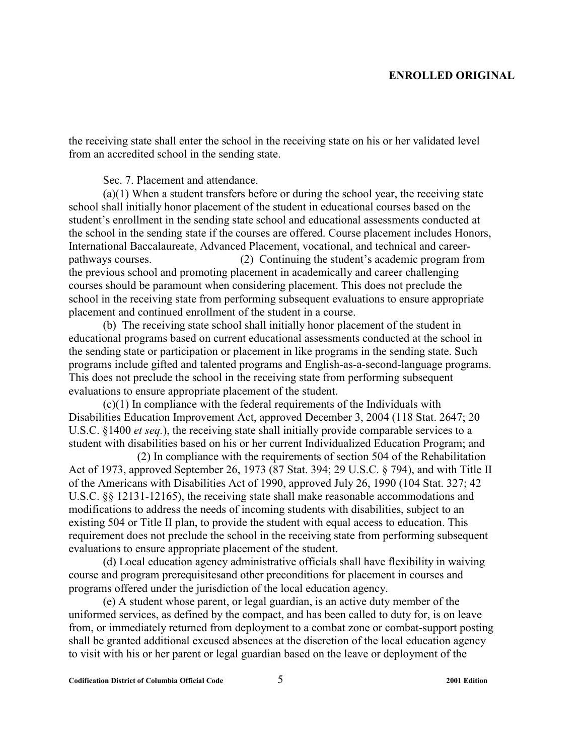the receiving state shall enter the school in the receiving state on his or her validated level from an accredited school in the sending state.

Sec. 7. Placement and attendance.

(a)(1) When a student transfers before or during the school year, the receiving state school shall initially honor placement of the student in educational courses based on the student's enrollment in the sending state school and educational assessments conducted at the school in the sending state if the courses are offered. Course placement includes Honors, International Baccalaureate, Advanced Placement, vocational, and technical and careerpathways courses. (2) Continuing the student's academic program from the previous school and promoting placement in academically and career challenging courses should be paramount when considering placement. This does not preclude the school in the receiving state from performing subsequent evaluations to ensure appropriate placement and continued enrollment of the student in a course.

(b) The receiving state school shall initially honor placement of the student in educational programs based on current educational assessments conducted at the school in the sending state or participation or placement in like programs in the sending state. Such programs include gifted and talented programs and English-as-a-second-language programs. This does not preclude the school in the receiving state from performing subsequent evaluations to ensure appropriate placement of the student.

(c)(1) In compliance with the federal requirements of the Individuals with Disabilities Education Improvement Act, approved December 3, 2004 (118 Stat. 2647; 20 U.S.C. §1400 *et seq.*), the receiving state shall initially provide comparable services to a student with disabilities based on his or her current Individualized Education Program; and

(2) In compliance with the requirements of section 504 of the Rehabilitation Act of 1973, approved September 26, 1973 (87 Stat. 394; 29 U.S.C. § 794), and with Title II of the Americans with Disabilities Act of 1990, approved July 26, 1990 (104 Stat. 327; 42 U.S.C. §§ 12131-12165), the receiving state shall make reasonable accommodations and modifications to address the needs of incoming students with disabilities, subject to an existing 504 or Title II plan, to provide the student with equal access to education. This requirement does not preclude the school in the receiving state from performing subsequent evaluations to ensure appropriate placement of the student.

(d) Local education agency administrative officials shall have flexibility in waiving course and program prerequisitesand other preconditions for placement in courses and programs offered under the jurisdiction of the local education agency.

(e) A student whose parent, or legal guardian, is an active duty member of the uniformed services, as defined by the compact, and has been called to duty for, is on leave from, or immediately returned from deployment to a combat zone or combat-support posting shall be granted additional excused absences at the discretion of the local education agency to visit with his or her parent or legal guardian based on the leave or deployment of the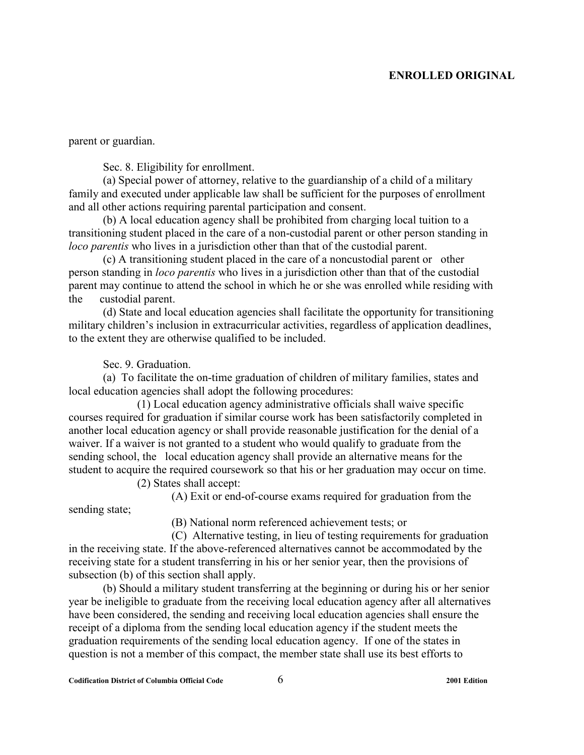parent or guardian.

Sec. 8. Eligibility for enrollment.

(a) Special power of attorney, relative to the guardianship of a child of a military family and executed under applicable law shall be sufficient for the purposes of enrollment and all other actions requiring parental participation and consent.

(b) A local education agency shall be prohibited from charging local tuition to a transitioning student placed in the care of a non-custodial parent or other person standing in *loco parentis* who lives in a jurisdiction other than that of the custodial parent.

(c) A transitioning student placed in the care of a noncustodial parent or other person standing in *loco parentis* who lives in a jurisdiction other than that of the custodial parent may continue to attend the school in which he or she was enrolled while residing with the custodial parent.

(d) State and local education agencies shall facilitate the opportunity for transitioning military children's inclusion in extracurricular activities, regardless of application deadlines, to the extent they are otherwise qualified to be included.

Sec. 9. Graduation.

(a) To facilitate the on-time graduation of children of military families, states and local education agencies shall adopt the following procedures:

(1) Local education agency administrative officials shall waive specific courses required for graduation if similar course work has been satisfactorily completed in another local education agency or shall provide reasonable justification for the denial of a waiver. If a waiver is not granted to a student who would qualify to graduate from the sending school, the local education agency shall provide an alternative means for the student to acquire the required coursework so that his or her graduation may occur on time.

(2) States shall accept:

(A) Exit or end-of-course exams required for graduation from the

sending state;

(B) National norm referenced achievement tests; or

 (C) Alternative testing, in lieu of testing requirements for graduation in the receiving state. If the above-referenced alternatives cannot be accommodated by the receiving state for a student transferring in his or her senior year, then the provisions of subsection (b) of this section shall apply.

(b) Should a military student transferring at the beginning or during his or her senior year be ineligible to graduate from the receiving local education agency after all alternatives have been considered, the sending and receiving local education agencies shall ensure the receipt of a diploma from the sending local education agency if the student meets the graduation requirements of the sending local education agency. If one of the states in question is not a member of this compact, the member state shall use its best efforts to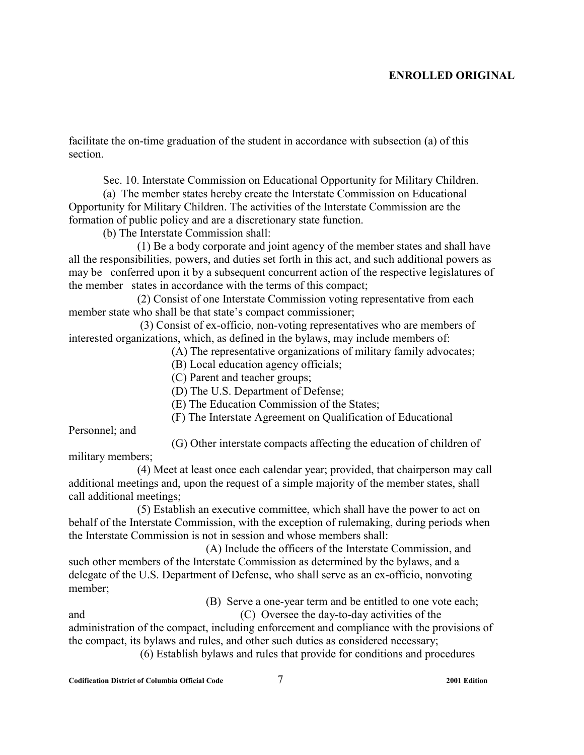facilitate the on-time graduation of the student in accordance with subsection (a) of this section.

Sec. 10. Interstate Commission on Educational Opportunity for Military Children.

(a) The member states hereby create the Interstate Commission on Educational Opportunity for Military Children. The activities of the Interstate Commission are the formation of public policy and are a discretionary state function.

(b) The Interstate Commission shall:

(1) Be a body corporate and joint agency of the member states and shall have all the responsibilities, powers, and duties set forth in this act, and such additional powers as may be conferred upon it by a subsequent concurrent action of the respective legislatures of the member states in accordance with the terms of this compact;

(2) Consist of one Interstate Commission voting representative from each member state who shall be that state's compact commissioner;

 (3) Consist of ex-officio, non-voting representatives who are members of interested organizations, which, as defined in the bylaws, may include members of:

(A) The representative organizations of military family advocates;

(B) Local education agency officials;

(C) Parent and teacher groups;

(D) The U.S. Department of Defense;

(E) The Education Commission of the States;

(F) The Interstate Agreement on Qualification of Educational

Personnel; and

(G) Other interstate compacts affecting the education of children of military members;

(4) Meet at least once each calendar year; provided, that chairperson may call additional meetings and, upon the request of a simple majority of the member states, shall call additional meetings;

 (5) Establish an executive committee, which shall have the power to act on behalf of the Interstate Commission, with the exception of rulemaking, during periods when the Interstate Commission is not in session and whose members shall:

 (A) Include the officers of the Interstate Commission, and such other members of the Interstate Commission as determined by the bylaws, and a delegate of the U.S. Department of Defense, who shall serve as an ex-officio, nonvoting member;

(B) Serve a one-year term and be entitled to one vote each;

and (C) Oversee the day-to-day activities of the administration of the compact, including enforcement and compliance with the provisions of the compact, its bylaws and rules, and other such duties as considered necessary; (6) Establish bylaws and rules that provide for conditions and procedures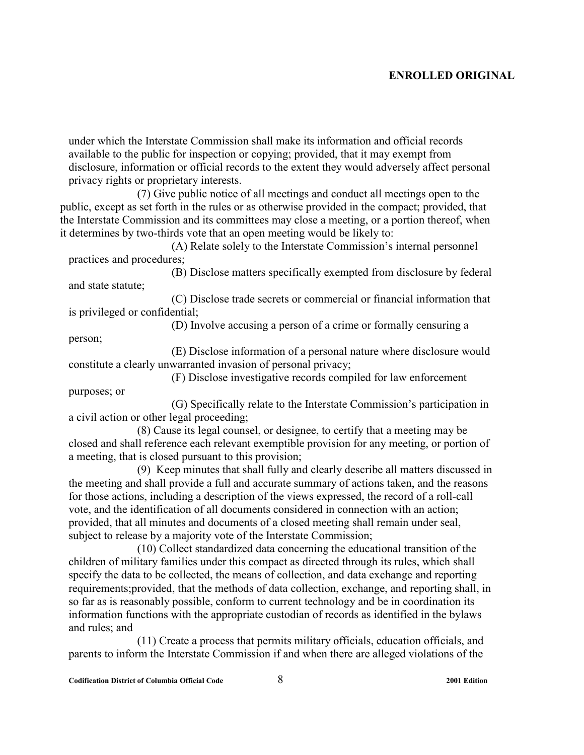under which the Interstate Commission shall make its information and official records available to the public for inspection or copying; provided, that it may exempt from disclosure, information or official records to the extent they would adversely affect personal privacy rights or proprietary interests.

(7) Give public notice of all meetings and conduct all meetings open to the public, except as set forth in the rules or as otherwise provided in the compact; provided, that the Interstate Commission and its committees may close a meeting, or a portion thereof, when it determines by two-thirds vote that an open meeting would be likely to:

 (A) Relate solely to the Interstate Commission's internal personnel practices and procedures;

 (B) Disclose matters specifically exempted from disclosure by federal and state statute;

 (C) Disclose trade secrets or commercial or financial information that is privileged or confidential;

 (D) Involve accusing a person of a crime or formally censuring a person;

 (E) Disclose information of a personal nature where disclosure would constitute a clearly unwarranted invasion of personal privacy;

(F) Disclose investigative records compiled for law enforcement

 (G) Specifically relate to the Interstate Commission's participation in a civil action or other legal proceeding;

(8) Cause its legal counsel, or designee, to certify that a meeting may be closed and shall reference each relevant exemptible provision for any meeting, or portion of a meeting, that is closed pursuant to this provision;

(9) Keep minutes that shall fully and clearly describe all matters discussed in the meeting and shall provide a full and accurate summary of actions taken, and the reasons for those actions, including a description of the views expressed, the record of a roll-call vote, and the identification of all documents considered in connection with an action; provided, that all minutes and documents of a closed meeting shall remain under seal, subject to release by a majority vote of the Interstate Commission;

(10) Collect standardized data concerning the educational transition of the children of military families under this compact as directed through its rules, which shall specify the data to be collected, the means of collection, and data exchange and reporting requirements;provided, that the methods of data collection, exchange, and reporting shall, in so far as is reasonably possible, conform to current technology and be in coordination its information functions with the appropriate custodian of records as identified in the bylaws and rules; and

(11) Create a process that permits military officials, education officials, and parents to inform the Interstate Commission if and when there are alleged violations of the

purposes; or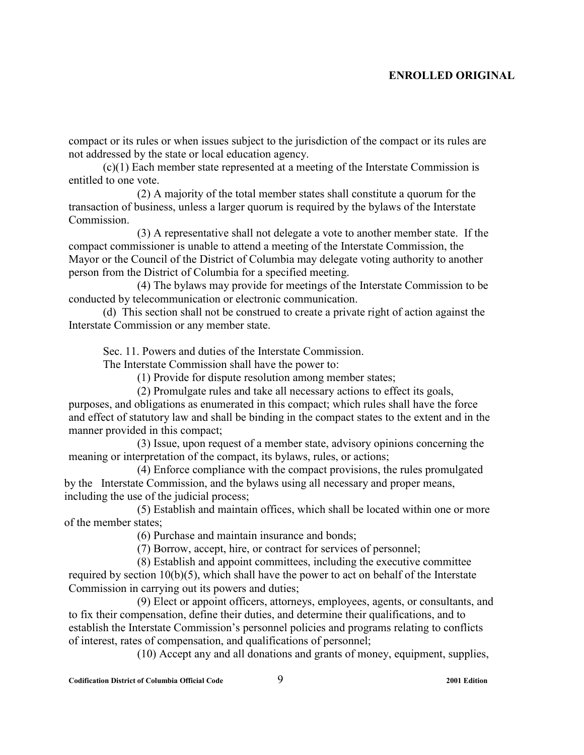compact or its rules or when issues subject to the jurisdiction of the compact or its rules are not addressed by the state or local education agency.

(c)(1) Each member state represented at a meeting of the Interstate Commission is entitled to one vote.

 (2) A majority of the total member states shall constitute a quorum for the transaction of business, unless a larger quorum is required by the bylaws of the Interstate **Commission** 

 (3) A representative shall not delegate a vote to another member state. If the compact commissioner is unable to attend a meeting of the Interstate Commission, the Mayor or the Council of the District of Columbia may delegate voting authority to another person from the District of Columbia for a specified meeting.

 (4) The bylaws may provide for meetings of the Interstate Commission to be conducted by telecommunication or electronic communication.

(d) This section shall not be construed to create a private right of action against the Interstate Commission or any member state.

Sec. 11. Powers and duties of the Interstate Commission.

The Interstate Commission shall have the power to:

(1) Provide for dispute resolution among member states;

(2) Promulgate rules and take all necessary actions to effect its goals, purposes, and obligations as enumerated in this compact; which rules shall have the force and effect of statutory law and shall be binding in the compact states to the extent and in the manner provided in this compact;

(3) Issue, upon request of a member state, advisory opinions concerning the meaning or interpretation of the compact, its bylaws, rules, or actions;

(4) Enforce compliance with the compact provisions, the rules promulgated by the Interstate Commission, and the bylaws using all necessary and proper means, including the use of the judicial process;

(5) Establish and maintain offices, which shall be located within one or more of the member states;

(6) Purchase and maintain insurance and bonds;

(7) Borrow, accept, hire, or contract for services of personnel;

(8) Establish and appoint committees, including the executive committee required by section 10(b)(5), which shall have the power to act on behalf of the Interstate Commission in carrying out its powers and duties;

(9) Elect or appoint officers, attorneys, employees, agents, or consultants, and to fix their compensation, define their duties, and determine their qualifications, and to establish the Interstate Commission's personnel policies and programs relating to conflicts of interest, rates of compensation, and qualifications of personnel;

(10) Accept any and all donations and grants of money, equipment, supplies,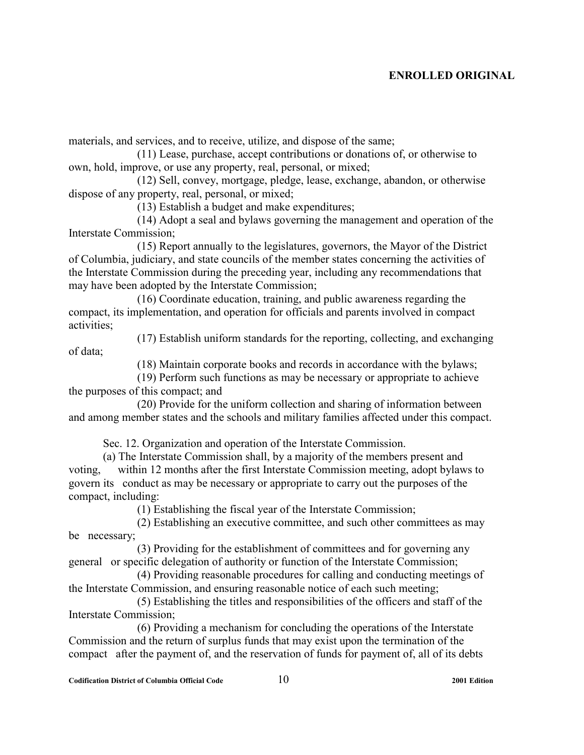materials, and services, and to receive, utilize, and dispose of the same;

(11) Lease, purchase, accept contributions or donations of, or otherwise to own, hold, improve, or use any property, real, personal, or mixed;

(12) Sell, convey, mortgage, pledge, lease, exchange, abandon, or otherwise dispose of any property, real, personal, or mixed;

(13) Establish a budget and make expenditures;

(14) Adopt a seal and bylaws governing the management and operation of the Interstate Commission;

 (15) Report annually to the legislatures, governors, the Mayor of the District of Columbia, judiciary, and state councils of the member states concerning the activities of the Interstate Commission during the preceding year, including any recommendations that may have been adopted by the Interstate Commission;

(16) Coordinate education, training, and public awareness regarding the compact, its implementation, and operation for officials and parents involved in compact activities;

(17) Establish uniform standards for the reporting, collecting, and exchanging

(18) Maintain corporate books and records in accordance with the bylaws;

(19) Perform such functions as may be necessary or appropriate to achieve the purposes of this compact; and

(20) Provide for the uniform collection and sharing of information between and among member states and the schools and military families affected under this compact.

Sec. 12. Organization and operation of the Interstate Commission.

(a) The Interstate Commission shall, by a majority of the members present and voting, within 12 months after the first Interstate Commission meeting, adopt bylaws to govern its conduct as may be necessary or appropriate to carry out the purposes of the compact, including:

(1) Establishing the fiscal year of the Interstate Commission;

(2) Establishing an executive committee, and such other committees as may be necessary;

(3) Providing for the establishment of committees and for governing any general or specific delegation of authority or function of the Interstate Commission;

(4) Providing reasonable procedures for calling and conducting meetings of the Interstate Commission, and ensuring reasonable notice of each such meeting;

(5) Establishing the titles and responsibilities of the officers and staff of the Interstate Commission;

(6) Providing a mechanism for concluding the operations of the Interstate Commission and the return of surplus funds that may exist upon the termination of the compact after the payment of, and the reservation of funds for payment of, all of its debts

of data;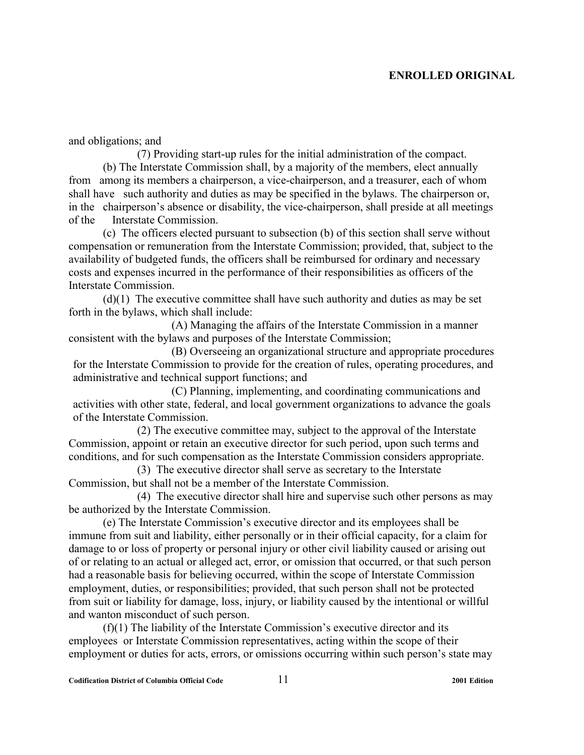and obligations; and

(7) Providing start-up rules for the initial administration of the compact. (b) The Interstate Commission shall, by a majority of the members, elect annually from among its members a chairperson, a vice-chairperson, and a treasurer, each of whom shall have such authority and duties as may be specified in the bylaws. The chairperson or, in the chairperson's absence or disability, the vice-chairperson, shall preside at all meetings of the Interstate Commission.

(c) The officers elected pursuant to subsection (b) of this section shall serve without compensation or remuneration from the Interstate Commission; provided, that, subject to the availability of budgeted funds, the officers shall be reimbursed for ordinary and necessary costs and expenses incurred in the performance of their responsibilities as officers of the Interstate Commission.

(d)(1) The executive committee shall have such authority and duties as may be set forth in the bylaws, which shall include:

(A) Managing the affairs of the Interstate Commission in a manner consistent with the bylaws and purposes of the Interstate Commission;

(B) Overseeing an organizational structure and appropriate procedures for the Interstate Commission to provide for the creation of rules, operating procedures, and administrative and technical support functions; and

(C) Planning, implementing, and coordinating communications and activities with other state, federal, and local government organizations to advance the goals of the Interstate Commission.

(2) The executive committee may, subject to the approval of the Interstate Commission, appoint or retain an executive director for such period, upon such terms and conditions, and for such compensation as the Interstate Commission considers appropriate.

(3) The executive director shall serve as secretary to the Interstate Commission, but shall not be a member of the Interstate Commission.

(4) The executive director shall hire and supervise such other persons as may be authorized by the Interstate Commission.

(e) The Interstate Commission's executive director and its employees shall be immune from suit and liability, either personally or in their official capacity, for a claim for damage to or loss of property or personal injury or other civil liability caused or arising out of or relating to an actual or alleged act, error, or omission that occurred, or that such person had a reasonable basis for believing occurred, within the scope of Interstate Commission employment, duties, or responsibilities; provided, that such person shall not be protected from suit or liability for damage, loss, injury, or liability caused by the intentional or willful and wanton misconduct of such person.

(f)(1) The liability of the Interstate Commission's executive director and its employees or Interstate Commission representatives, acting within the scope of their employment or duties for acts, errors, or omissions occurring within such person's state may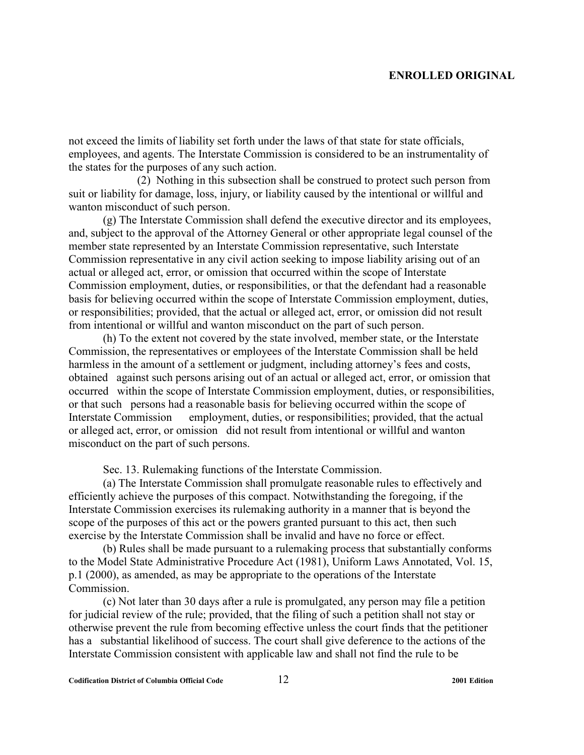not exceed the limits of liability set forth under the laws of that state for state officials, employees, and agents. The Interstate Commission is considered to be an instrumentality of the states for the purposes of any such action.

 (2) Nothing in this subsection shall be construed to protect such person from suit or liability for damage, loss, injury, or liability caused by the intentional or willful and wanton misconduct of such person.

(g) The Interstate Commission shall defend the executive director and its employees, and, subject to the approval of the Attorney General or other appropriate legal counsel of the member state represented by an Interstate Commission representative, such Interstate Commission representative in any civil action seeking to impose liability arising out of an actual or alleged act, error, or omission that occurred within the scope of Interstate Commission employment, duties, or responsibilities, or that the defendant had a reasonable basis for believing occurred within the scope of Interstate Commission employment, duties, or responsibilities; provided, that the actual or alleged act, error, or omission did not result from intentional or willful and wanton misconduct on the part of such person.

(h) To the extent not covered by the state involved, member state, or the Interstate Commission, the representatives or employees of the Interstate Commission shall be held harmless in the amount of a settlement or judgment, including attorney's fees and costs, obtained against such persons arising out of an actual or alleged act, error, or omission that occurred within the scope of Interstate Commission employment, duties, or responsibilities, or that such persons had a reasonable basis for believing occurred within the scope of Interstate Commission employment, duties, or responsibilities; provided, that the actual or alleged act, error, or omission did not result from intentional or willful and wanton misconduct on the part of such persons.

Sec. 13. Rulemaking functions of the Interstate Commission.

(a) The Interstate Commission shall promulgate reasonable rules to effectively and efficiently achieve the purposes of this compact. Notwithstanding the foregoing, if the Interstate Commission exercises its rulemaking authority in a manner that is beyond the scope of the purposes of this act or the powers granted pursuant to this act, then such exercise by the Interstate Commission shall be invalid and have no force or effect.

(b) Rules shall be made pursuant to a rulemaking process that substantially conforms to the Model State Administrative Procedure Act (1981), Uniform Laws Annotated, Vol. 15, p.1 (2000), as amended, as may be appropriate to the operations of the Interstate Commission.

(c) Not later than 30 days after a rule is promulgated, any person may file a petition for judicial review of the rule; provided, that the filing of such a petition shall not stay or otherwise prevent the rule from becoming effective unless the court finds that the petitioner has a substantial likelihood of success. The court shall give deference to the actions of the Interstate Commission consistent with applicable law and shall not find the rule to be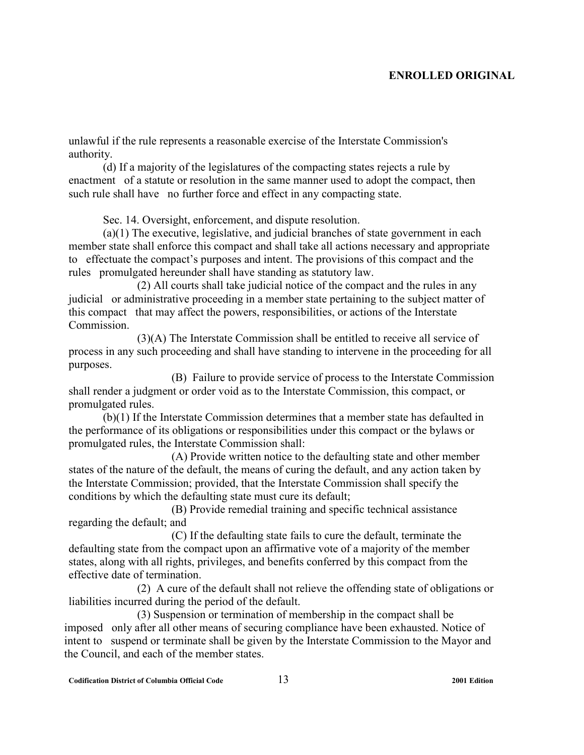unlawful if the rule represents a reasonable exercise of the Interstate Commission's authority.

(d) If a majority of the legislatures of the compacting states rejects a rule by enactment of a statute or resolution in the same manner used to adopt the compact, then such rule shall have no further force and effect in any compacting state.

Sec. 14. Oversight, enforcement, and dispute resolution.

(a)(1) The executive, legislative, and judicial branches of state government in each member state shall enforce this compact and shall take all actions necessary and appropriate to effectuate the compact's purposes and intent. The provisions of this compact and the rules promulgated hereunder shall have standing as statutory law.

(2) All courts shall take judicial notice of the compact and the rules in any judicial or administrative proceeding in a member state pertaining to the subject matter of this compact that may affect the powers, responsibilities, or actions of the Interstate **Commission** 

(3)(A) The Interstate Commission shall be entitled to receive all service of process in any such proceeding and shall have standing to intervene in the proceeding for all purposes.

 (B) Failure to provide service of process to the Interstate Commission shall render a judgment or order void as to the Interstate Commission, this compact, or promulgated rules.

(b)(1) If the Interstate Commission determines that a member state has defaulted in the performance of its obligations or responsibilities under this compact or the bylaws or promulgated rules, the Interstate Commission shall:

 (A) Provide written notice to the defaulting state and other member states of the nature of the default, the means of curing the default, and any action taken by the Interstate Commission; provided, that the Interstate Commission shall specify the conditions by which the defaulting state must cure its default;

 (B) Provide remedial training and specific technical assistance regarding the default; and

 (C) If the defaulting state fails to cure the default, terminate the defaulting state from the compact upon an affirmative vote of a majority of the member states, along with all rights, privileges, and benefits conferred by this compact from the effective date of termination.

(2) A cure of the default shall not relieve the offending state of obligations or liabilities incurred during the period of the default.

(3) Suspension or termination of membership in the compact shall be imposed only after all other means of securing compliance have been exhausted. Notice of intent to suspend or terminate shall be given by the Interstate Commission to the Mayor and the Council, and each of the member states.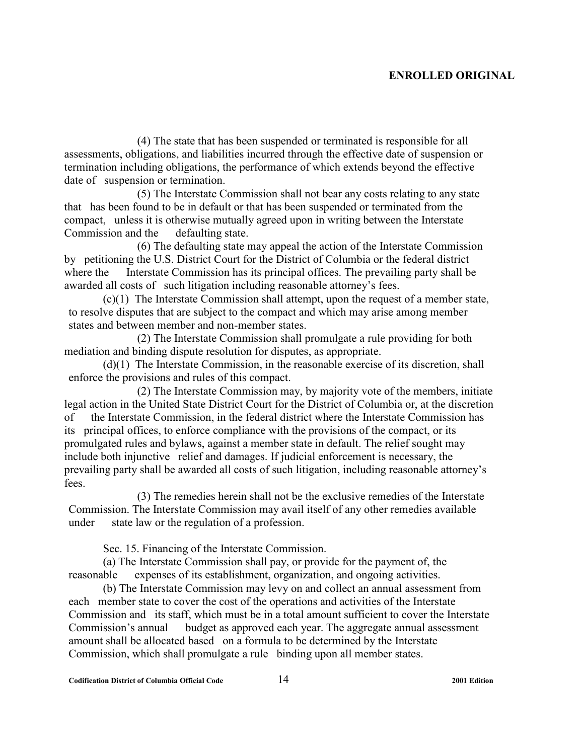(4) The state that has been suspended or terminated is responsible for all assessments, obligations, and liabilities incurred through the effective date of suspension or termination including obligations, the performance of which extends beyond the effective date of suspension or termination.

(5) The Interstate Commission shall not bear any costs relating to any state that has been found to be in default or that has been suspended or terminated from the compact, unless it is otherwise mutually agreed upon in writing between the Interstate Commission and the defaulting state.

(6) The defaulting state may appeal the action of the Interstate Commission by petitioning the U.S. District Court for the District of Columbia or the federal district where the Interstate Commission has its principal offices. The prevailing party shall be awarded all costs of such litigation including reasonable attorney's fees.

(c)(1) The Interstate Commission shall attempt, upon the request of a member state, to resolve disputes that are subject to the compact and which may arise among member states and between member and non-member states.

(2) The Interstate Commission shall promulgate a rule providing for both mediation and binding dispute resolution for disputes, as appropriate.

(d)(1) The Interstate Commission, in the reasonable exercise of its discretion, shall enforce the provisions and rules of this compact.

(2) The Interstate Commission may, by majority vote of the members, initiate legal action in the United State District Court for the District of Columbia or, at the discretion of the Interstate Commission, in the federal district where the Interstate Commission has its principal offices, to enforce compliance with the provisions of the compact, or its promulgated rules and bylaws, against a member state in default. The relief sought may include both injunctive relief and damages. If judicial enforcement is necessary, the prevailing party shall be awarded all costs of such litigation, including reasonable attorney's fees.

(3) The remedies herein shall not be the exclusive remedies of the Interstate Commission. The Interstate Commission may avail itself of any other remedies available under state law or the regulation of a profession.

Sec. 15. Financing of the Interstate Commission.

(a) The Interstate Commission shall pay, or provide for the payment of, the reasonable expenses of its establishment, organization, and ongoing activities.

(b) The Interstate Commission may levy on and collect an annual assessment from each member state to cover the cost of the operations and activities of the Interstate Commission and its staff, which must be in a total amount sufficient to cover the Interstate Commission's annual budget as approved each year. The aggregate annual assessment amount shall be allocated based on a formula to be determined by the Interstate Commission, which shall promulgate a rule binding upon all member states.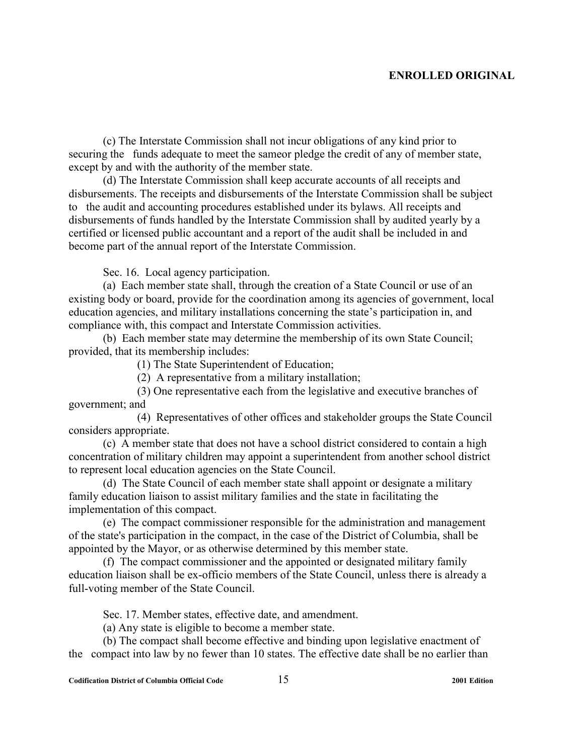(c) The Interstate Commission shall not incur obligations of any kind prior to securing the funds adequate to meet the sameor pledge the credit of any of member state, except by and with the authority of the member state.

(d) The Interstate Commission shall keep accurate accounts of all receipts and disbursements. The receipts and disbursements of the Interstate Commission shall be subject to the audit and accounting procedures established under its bylaws. All receipts and disbursements of funds handled by the Interstate Commission shall by audited yearly by a certified or licensed public accountant and a report of the audit shall be included in and become part of the annual report of the Interstate Commission.

Sec. 16. Local agency participation.

(a) Each member state shall, through the creation of a State Council or use of an existing body or board, provide for the coordination among its agencies of government, local education agencies, and military installations concerning the state's participation in, and compliance with, this compact and Interstate Commission activities.

(b) Each member state may determine the membership of its own State Council; provided, that its membership includes:

(1) The State Superintendent of Education;

(2) A representative from a military installation;

 (3) One representative each from the legislative and executive branches of government; and

 (4) Representatives of other offices and stakeholder groups the State Council considers appropriate.

(c) A member state that does not have a school district considered to contain a high concentration of military children may appoint a superintendent from another school district to represent local education agencies on the State Council.

(d) The State Council of each member state shall appoint or designate a military family education liaison to assist military families and the state in facilitating the implementation of this compact.

(e) The compact commissioner responsible for the administration and management of the state's participation in the compact, in the case of the District of Columbia, shall be appointed by the Mayor, or as otherwise determined by this member state.

(f) The compact commissioner and the appointed or designated military family education liaison shall be ex-officio members of the State Council, unless there is already a full-voting member of the State Council.

Sec. 17. Member states, effective date, and amendment.

(a) Any state is eligible to become a member state.

(b) The compact shall become effective and binding upon legislative enactment of the compact into law by no fewer than 10 states. The effective date shall be no earlier than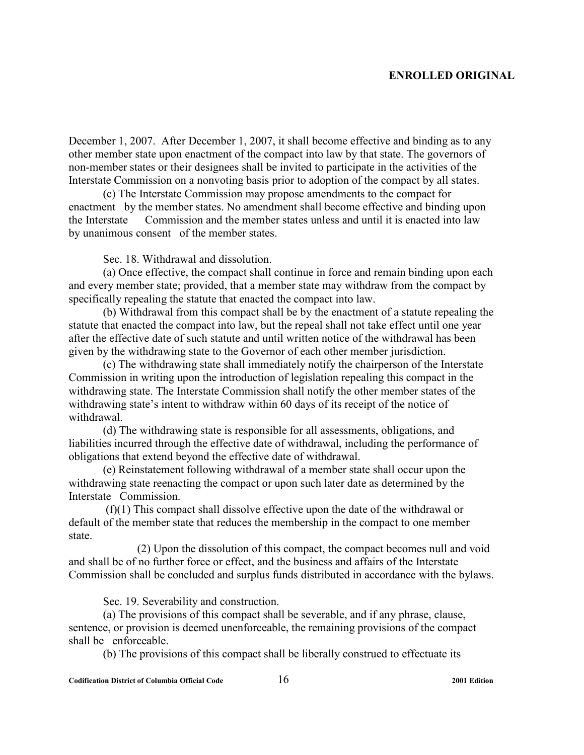December 1, 2007. After December 1, 2007, it shall become effective and binding as to any other member state upon enactment of the compact into law by that state. The governors of non-member states or their designees shall be invited to participate in the activities of the Interstate Commission on a nonvoting basis prior to adoption of the compact by all states.

(c) The Interstate Commission may propose amendments to the compact for enactment by the member states. No amendment shall become effective and binding upon the Interstate Commission and the member states unless and until it is enacted into law by unanimous consent of the member states.

Sec. 18. Withdrawal and dissolution.

(a) Once effective, the compact shall continue in force and remain binding upon each and every member state; provided, that a member state may withdraw from the compact by specifically repealing the statute that enacted the compact into law.

(b) Withdrawal from this compact shall be by the enactment of a statute repealing the statute that enacted the compact into law, but the repeal shall not take effect until one year after the effective date of such statute and until written notice of the withdrawal has been given by the withdrawing state to the Governor of each other member jurisdiction.

(c) The withdrawing state shall immediately notify the chairperson of the Interstate Commission in writing upon the introduction of legislation repealing this compact in the withdrawing state. The Interstate Commission shall notify the other member states of the withdrawing state's intent to withdraw within 60 days of its receipt of the notice of withdrawal.

(d) The withdrawing state is responsible for all assessments, obligations, and liabilities incurred through the effective date of withdrawal, including the performance of obligations that extend beyond the effective date of withdrawal.

(e) Reinstatement following withdrawal of a member state shall occur upon the withdrawing state reenacting the compact or upon such later date as determined by the Interstate Commission.

 (f)(1) This compact shall dissolve effective upon the date of the withdrawal or default of the member state that reduces the membership in the compact to one member state.

(2) Upon the dissolution of this compact, the compact becomes null and void and shall be of no further force or effect, and the business and affairs of the Interstate Commission shall be concluded and surplus funds distributed in accordance with the bylaws.

Sec. 19. Severability and construction.

(a) The provisions of this compact shall be severable, and if any phrase, clause, sentence, or provision is deemed unenforceable, the remaining provisions of the compact shall be enforceable.

(b) The provisions of this compact shall be liberally construed to effectuate its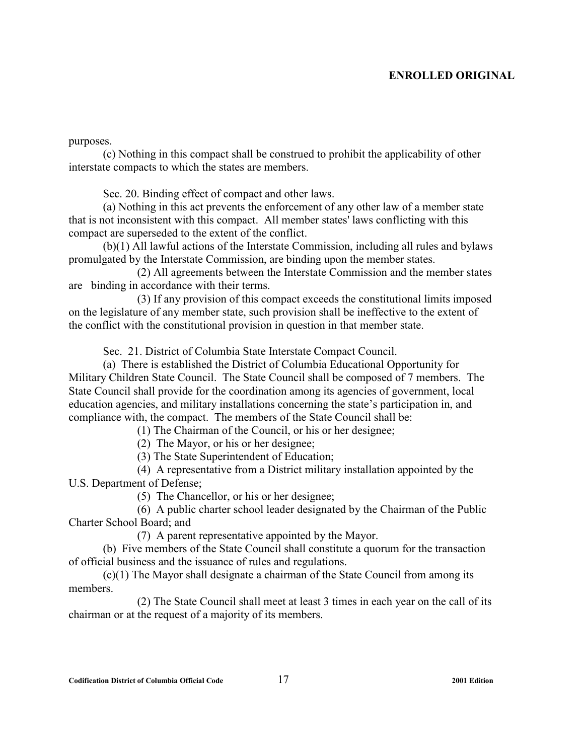purposes.

(c) Nothing in this compact shall be construed to prohibit the applicability of other interstate compacts to which the states are members.

Sec. 20. Binding effect of compact and other laws.

(a) Nothing in this act prevents the enforcement of any other law of a member state that is not inconsistent with this compact. All member states' laws conflicting with this compact are superseded to the extent of the conflict.

(b)(1) All lawful actions of the Interstate Commission, including all rules and bylaws promulgated by the Interstate Commission, are binding upon the member states.

(2) All agreements between the Interstate Commission and the member states are binding in accordance with their terms.

(3) If any provision of this compact exceeds the constitutional limits imposed on the legislature of any member state, such provision shall be ineffective to the extent of the conflict with the constitutional provision in question in that member state.

Sec. 21. District of Columbia State Interstate Compact Council.

(a) There is established the District of Columbia Educational Opportunity for Military Children State Council. The State Council shall be composed of 7 members. The State Council shall provide for the coordination among its agencies of government, local education agencies, and military installations concerning the state's participation in, and compliance with, the compact. The members of the State Council shall be:

(1) The Chairman of the Council, or his or her designee;

(2) The Mayor, or his or her designee;

(3) The State Superintendent of Education;

 (4) A representative from a District military installation appointed by the U.S. Department of Defense;

(5) The Chancellor, or his or her designee;

 (6) A public charter school leader designated by the Chairman of the Public Charter School Board; and

(7) A parent representative appointed by the Mayor.

 (b) Five members of the State Council shall constitute a quorum for the transaction of official business and the issuance of rules and regulations.

 (c)(1) The Mayor shall designate a chairman of the State Council from among its members.

 (2) The State Council shall meet at least 3 times in each year on the call of its chairman or at the request of a majority of its members.